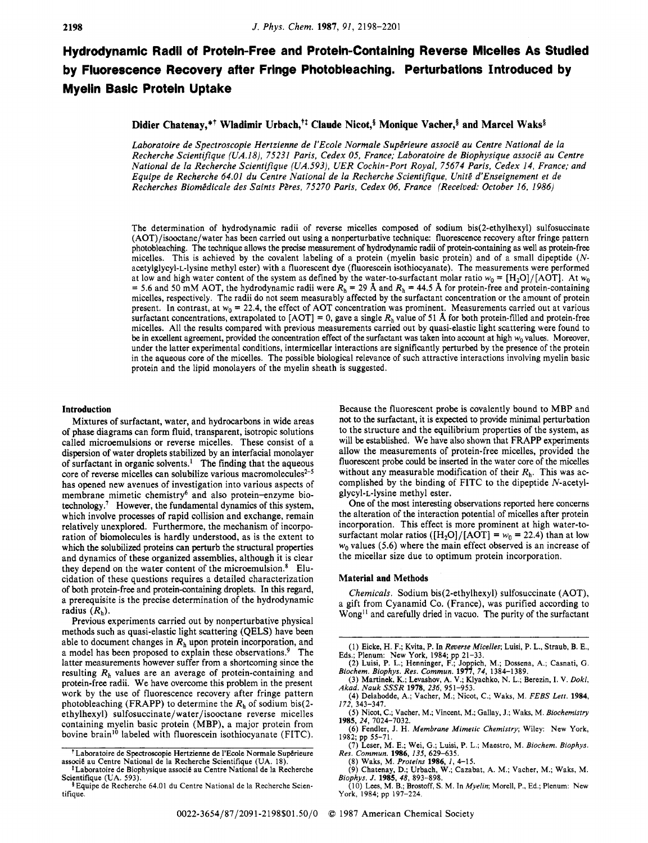# **Hydrodynamic Radii of Protein-Free and Protein-Containing Reverse Micelles As Studied by Fluorescence Recovery after Fringe Photobleaching. Perturbations Introduced by Myelin Basic Protein Uptake**

# Didier Chatenay,\*<sup>†</sup> Wladimir Urbach,<sup>††</sup> Claude Nicot,<sup>§</sup> Monique Vacher,<sup>§</sup> and Marcel Waks<sup>§</sup>

Laboratoire de Spectroscopie Hertzienne de l'Ecole Normale Supérieure associé au Centre National de la *Recherche Scientifique (UA.18), 75231 Paris, Cedex 05, France; Laboratoire de Biophysique associé au Centre National de la Recherche Scientifique (UA.593), UER Cochin-Port Royal, 75674 Paris, Cedex 14, France: and Equipe de Recherche 64.01 du Centre National de la Recherche Scientifique, Unite d'Enseignement et de Recherches Biomddicale des Saints PPres, 75270 Paris, Cedex 06, France (Received: October 16, 1986)* 

The determination of hydrodynamic radii of reverse micelles composed of sodium bis(2-ethylhexyl) sulfosuccinate (AOT)/isooctane/water has been carried out using a nonperturbative technique: fluorescence recovery after fringe pattern photobleaching. The technique allows the precise measurement of hydrodynamic radii of protein-containing as well as protein-free micelles. This is achieved by the covalent labeling of a protein (myelin basic protein) and of a small dipeptide *(N*acetylglycyl-L-lysine methyl ester) with a fluorescent dye (fluorescein isothiocyanate). The measurements were performed<br>at low and high water content of the system as defined by the water-to-surfactant molar ratio  $w_0 = [$ = 5.6 and 50 mM AOT, the hydrodynamic radii were  $R_h$  = 29 Å and  $R_h$  = 44.5 Å for protein-free and protein-containing micelles, respectively. The radii do not seem measurably affected by the surfactant concentration or the amount of protein present. In contrast, at *wo* = 22.4, the effect of AOT concentration was prominent. Measurements carried out at various surfactant concentrations, extrapolated to  $[ACT] = 0$ , gave a single  $R<sub>h</sub>$  value of 51 Å for both protein-filled and protein-free micelles. All the results compared with previous measurements carried out by quasi-elastic light scattering were found to be in excellent agreement, provided the concentration effect of the surfactant was taken into account at high *wo* values. Moreover, under the latter experimental conditions, intermicellar interactions are significantly perturbed by the presence of the protein in the aqueous core of the micelles. The possible biological relevance of such attractive interactions involving myelin basic protein and the lipid monolayers of the myelin sheath is suggested.

#### **Introduction**

Mixtures of surfactant, water, and hydrocarbons in wide areas **of** phase diagrams can form fluid, transparent, isotropic solutions called microemulsions or reverse micelles. These consist of a dispersion of water droplets stabilized by an interfacial monolayer of surfactant in organic solvents.' The finding that the aqueous core of reverse micelles can solubilize various macromolecules $2-5$ has opened new avenues of investigation into various aspects of membrane mimetic chemistry6 and also protein-enzyme biotechnology? However, the fundamental dynamics of this system, which involve processes of rapid collision and exchange, remain relatively unexplored. Furthermore, the mechanism of incorporation of biomolecules is hardly understood, as is the extent to which the solubilized proteins can perturb the structural properties and dynamics of these organized assemblies, although it is clear they depend on the water content of the microemulsion. $8$  Elucidation of these questions requires a detailed characterization of both protein-free and protein-containing droplets. In this regard, a prerequisite is the precise determination of the hydrodynamic radius  $(R_h)$ .

Previous experiments carried out by nonperturbative physical methods such as quasi-elastic light scattering **(QELS)** have been able to document changes in  $R_h$  upon protein incorporation, and a model has been proposed to explain these observations.<sup>9</sup> The latter measurements however suffer from a shortcoming since the resulting *Rh* values are an average of protein-containing and protein-free radii. We have overcome this problem in the present work by the use of fluorescence recovery after fringe pattern photobleaching (FRAPP) to determine the *Rh* of sodium bis(2 ethylhexyl) **sulfosuccinate/water/isooctane** reverse micelles containing myelin basic protein (MBP), a major protein from bovine brain<sup>10</sup> labeled with fluorescein isothiocyanate (FITC).

Because the fluorescent probe is covalently bound to MBP and not to the surfactant, it is expected to provide minimal perturbation to the structure and the equilibrium properties of the system, as will be established. We have also shown that FRAPP experiments allow the measurements of protein-free micelles, provided the fluorescent probe could be inserted in the water core of the micelles without any measurable modification of their *Rh.* This was accomplished by the binding of FITC to the dipeptide N-acetylglycyl-L-lysine methyl ester.

One of the most interesting observations reported here concerns the alteration of the interaction potential of micelles after protein incorporation. This effect is more prominent at high water-tosurfactant molar ratios  $([H_2O]/[AOT] = w_0 = 22.4$ ) than at low  $w_0$  values (5.6) where the main effect observed is an increase of the micellar size due to optimum protein incorporation.

# **Material and Methods**

*Chemicals.* Sodium bis(2-ethylhexyl) sulfosuccinate (AOT), a gift from Cyanamid Co. (France), was purified according to Wong<sup>11</sup> and carefully dried in vacuo. The purity of the surfactant

<sup>&</sup>lt;sup>†</sup>Laboratoire de Spectroscopie Hertzienne de l'Ecole Normale Supérieure associe au Centre National de la Recherche Scientifique (UA. 18).<br><sup>1</sup> Laboratoire de Biophysique associe au Centre National de la Recherche

Scientifique (UA. 593). **4** Equipe de Recherche 64.01 du Centre National de la Recherche Scien-

tifique.

<sup>(</sup>I) Eicke, H. F.; Kvita, P. In *Reuerse Micelles;* Luisi, P. L., Straub, B. E., Eds.; Plenum: New York, 1984; pp 21–33.<br>(2) Luisi, P. L.; Henninger, F.; Joppich, M.; Dossena, A.; Casnati, G.

*Biochem. Biophys. Res. Commun.* **1911,** *74,* 1384-1389.

<sup>(3)</sup> Martinek, **K.;** Levashov, A. V.; Klyachko, N. L.; Berezin, I. V. *Dokl, Akad. Nauk SSSR* **1978,** *236,* 951-953.

<sup>(4)</sup> Delahcdde, A.; Vacher, M.; Nicot, C.; Waks, M. *FEBS Lett.* **1984,**  *172,* 343-347.

<sup>(5)</sup> Nicot, C.; Vacher, M.; Vincent, M.; Gallay, J.; Waks, M. *Biochemistry*  **1985,** 24, 7024-7032.

*<sup>(6)</sup>* Fendler, J. H. *Membrane Mimetic Chemistry;* Wiley: New York, 1982; pp 55-71.

<sup>(7)</sup> Leser, M. E.; Wei, G.; Luisi, P. L.; Maestro, M. *Biochem. Biophys. Res. Commun.* **1986,** *135,* 629-635.

<sup>(8)</sup> Waks, M. *Proteins* **1986,** *1,* 4-15. (9) Chatenay, D.; Urbach, W.; Cazabat, A. M.; Vacher, M.; Waks, M. *Biophys. J.* **1985,** *48,* 893-898.

<sup>(</sup>IO) **Lees,** M. B.; Brostoff, *S.* M. In *Myelin;* Morell, P., Ed.; Plenum: New York, 1984; pp 197-224.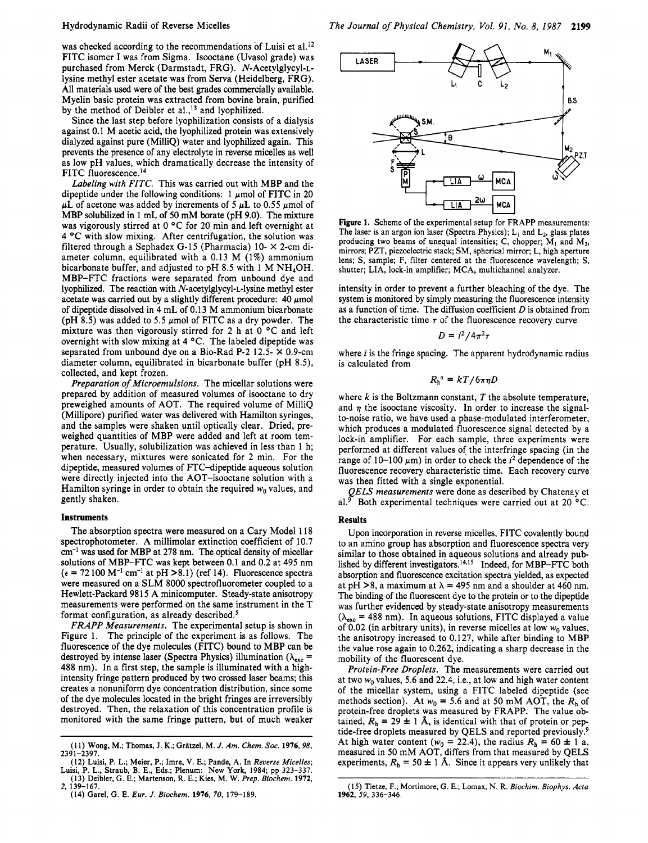# Hydrodynamic Radii of Reverse Micelles

was checked according to the recommendations of Luisi et al.<sup>12</sup> FITC isomer I was from Sigma. Isooctane (Uvasol grade) was purchased from Merck (Darmstadt, FRG). N-Acetylglycyl-Llysine methyl ester acetate was from Serva (Heidelberg, FRG). All materials used were of the best grades commercially available. Myelin basic protein was extracted from bovine brain, purified by the method of Deibler et al.,<sup>13</sup> and lyophilized.

Since the last step before lyophilization consists of a dialysis against 0.1 M acetic acid, the lyophilized protein was extensively dialyzed against pure (MilliQ) water and lyophilized again. This prevents the presence of any electrolyte in reverse micelles as well as low pH values, which dramatically decrease the intensity of FITC fluorescence.<sup>14</sup>

*Labeling with FITC.* This was carried out with MBP and the dipeptide under the following conditions:  $1 \mu$ mol of FITC in 20  $\mu$ L of acetone was added by increments of 5  $\mu$ L to 0.55  $\mu$ mol of MBP solubilized in 1 mL of 50 mM borate (pH 9.0). The mixture was vigorously stirred at 0  $\degree$ C for 20 min and left overnight at 4 °C with slow mixing. After centrifugation, the solution was filtered through a Sephadex G-15 (Pharmacia) 10- **X** 2-cm diameter column, equilibrated with a 0.13 M (1%) ammonium bicarbonate buffer, and adjusted to pH 8.5 with 1 M NH40H. MBP-FTC fractions were separated from unbound dye and lyophilized. The reaction with N-acetylglycyl-L-lysine methyl ester acetate was carried out by a slightly different procedure:  $40 \mu$ mol of dipeptide dissolved in 4 mL of 0.13 M ammonium bicarbonate (pH 8.5) was added to 5.5  $\mu$ mol of FITC as a dry powder. The mixture was then vigorously stirred for 2 h at  $0^{\circ}$ C and left overnight with slow mixing at 4 °C. The labeled dipeptide was separated from unbound dye **on** a Bio-Rad P-2 12.5- **X** 0.9-cm diameter column, equilibrated in bicarbonate buffer (pH 8.5), collected, and kept frozen.

*Preparation* of *Microemulsions.* The micellar solutions were prepared by addition of measured volumes of isooctane to dry preweighed amounts of AOT. The required volume of MilliQ (Millipore) purified water was delivered with Hamilton syringes, and the samples were shaken until optically clear. Dried, preweighed quantities of MBP were added and left at room temperature. Usually, solubilization was achieved in less than 1 h; when necessary, mixtures were sonicated for 2 min. For the dipeptide, measured volumes of FTC-dipeptide aqueous solution were directly injected into the AOT-isooctane solution with a Hamilton syringe in order to obtain the required  $w_0$  values, and gently shaken.

#### **Instruments**

The absorption spectra were measured **on** a Cary Model 118 spectrophotometer. A millimolar extinction coefficient of 10.7 *cm-'* was **used** for MBP at 278 nm. The optical density of micellar solutions of MBP-FTC was kept between 0.1 and 0.2 at 495 nm  $(\epsilon = 72100 \text{ M}^{-1} \text{ cm}^{-1}$  at pH >8.1) (ref 14). Fluorescence spectra were measured **on** a SLM 8000 spectrofluorometer coupled to a Hewlett-Packard 9815 A minicomputer. Steady-state anisotropy measurements were performed **on** the same instrument in the T format configuration, as already described.<sup>5</sup>

*FRAPP Measurements.* The experimental setup is shown in Figure 1. The principle of the experiment is as follows. The fluorescence of the dye molecules (FITC) bound to MBP can be destroyed by intense laser (Spectra Physics) illumination  $(\lambda_{\text{exc}} =$ 488 nm). In a first step, the sample is illuminated with a highintensity fringe pattern produced by two crossed laser beams; this creates a nonuniform dye concentration distribution, since some of the dye molecules located in the bright fringes are irreversibly destroyed. Then, the relaxation of this concentration profile is monitored with the same fringe pattern, but of much weaker



**Figure 1. Scheme of the experimental setup for FRAPP measurements:**  The laser is an argon ion laser (Spectra Physics);  $L_1$  and  $L_2$ , glass plates producing two beams of unequal intensities; C, chopper;  $M_1$  and  $M_2$ , **mirrors; PZT, piezoelectric stack; SM, spherical mirror;** L, **high aperture lens; S, sample; F, filter centered at the fluorescence wavelength; S, shutter; LIA, lock-in amplifier; MCA, multichannel analyzer.** 

intensity in order to prevent a further bleaching of the dye. The system is monitored by simply measuring the fluorescence intensity as a function of time. The diffusion coefficient *D* is obtained from the characteristic time  $\tau$  of the fluorescence recovery curve

$$
D = i^2/4\pi^2\tau
$$

where *i* is the fringe spacing. The apparent hydrodynamic radius is calculated from

$$
R_{\rm h}^{\rm a} = kT/6\pi\eta D
$$

where  $k$  is the Boltzmann constant,  $T$  the absolute temperature, and  $\eta$  the isooctane viscosity. In order to increase the signalto-noise ratio, we have used a phase-modulated interferometer, which produces a modulated fluorescence signal detected by a lock-in amplifier. For each sample, three experiments were performed at different values *of* the interfringe spacing (in the range of  $10-100 \mu m$ ) in order to check the  $i^2$  dependence of the fluorescence recovery characteristic time. Each recovery curve was then fitted with a single exponential.

*QELS measurements* were done as described by Chatenay et al.<sup>9</sup> Both experimental techniques were carried out at 20  $^{\circ}$ C.

# **Results**

**Upon** incorporation in reverse micelles, FITC covalently bound to an amino group has absorption and fluorescence spectra very similar to those obtained in aqueous solutions and already published by different investigators.<sup>14,15</sup> Indeed, for MBP-FTC both absorption and fluorescence excitation spectra yielded, as expected at pH  $>8$ , a maximum at  $\lambda = 495$  nm and a shoulder at 460 nm. The binding of the fluorescent dye to the protein or to the dipeptide was further evidenced by steady-state anisotropy measurements  $(\lambda_{\text{exc}} = 488 \text{ nm})$ . In aqueous solutions, FITC displayed a value of 0.02 (in arbitrary units), in reverse micelles at low *wo* values, the anisotropy increased to 0.127, while after binding to MBP the value rose again to 0.262, indicating a sharp decrease in the mobility of the fluorescent dye.

*Protein-Free Droplets.* The measurements were carried out at two  $w_0$  values, 5.6 and 22.4, i.e., at low and high water content of the micellar system, using a FITC labeled dipeptide (see methods section). At  $w_0 = 5.6$  and at 50 mM AOT, the  $R_h$  of protein-free droplets was measured by FRAPP. The value obtained,  $R_h = 29 \pm 1$  Å, is identical with that of protein or peptide-free droplets measured by QELS and reported previously.<sup>9</sup> At high water content  $(w_0 = 22.4)$ , the radius  $R_h = 60 \pm 1$  a, measured in 50 mM AOT, differs from that measured by QELS experiments,  $R_h = 50 \pm 1$  Å. Since it appears very unlikely that

**<sup>(1 1)</sup> Wong, M.; Thomas, J. K.; GrBtzel, M.** *J. Am. Chem. SOC.* **1976,** *98,*  **2391-2397.** 

**<sup>(12)</sup> Luisi, P. L.; Meier, P.; Imre, V. E.; Pande, A. In** *Reverse Micelles;*  **Luisi, P. L., Straub, B. E., Eds.; Plenum: New York, 1984; pp 323-337. (13) Deibler, G. E.; Martenson, R. E.; Kies, M. W.** *Prep. Biochem.* **1972,** 

**<sup>(14)</sup> Garel, G. E.** *Eur. J. Biochem.* **1976, 70, 179-189.**  *2,* **139-167.** 

**<sup>(15)</sup> Tietze, F.; Mortimore, G. E.; Lomax,** N. **R.** *Biochim. Biophys. Acta*  **1962,** 59, **336-346.**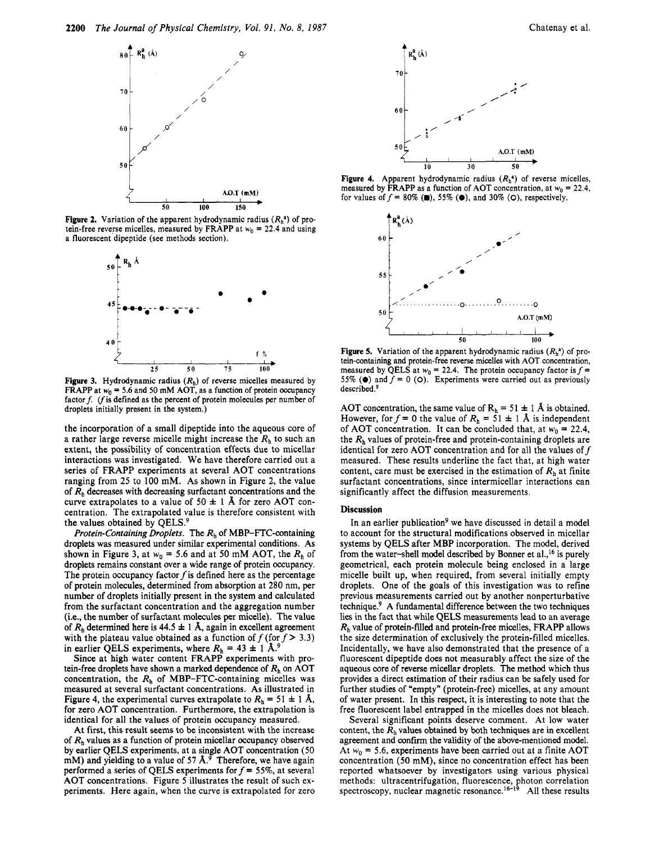

**Figure 2.** Variation of the apparent hydrodynamic radius  $(R<sub>h</sub><sup>a</sup>)$  of protein-free reverse micelles, measured by FRAPP at  $w_0 = 22.4$  and using a fluorescent dipeptide (see methods section).



**Figure 3.** Hydrodynamic radius  $(R_h)$  of reverse micelles measured by FRAPP at  $w_0 = 5.6$  and 50 mM AOT, as a function of protein occupancy factor  $f$ . ( $f$  is defined as the percent of protein molecules per number of droplets initially present in the system.)

the incorporation of a small dipeptide into the aqueous core of a rather large reverse micelle might increase the  $R<sub>h</sub>$  to such an extent, the possibility of concentration effects due to micellar interactions was investigated. We have therefore carried out a series of FRAPP experiments at several AOT concentrations ranging from **25** to 100 mM. As shown in Figure **2,** the value of  $R<sub>h</sub>$  decreases with decreasing surfactant concentrations and the curve extrapolates to a value of  $50 \pm 1$  Å for zero AOT concentration. The extrapolated value is therefore consistent with the values obtained by QELS.

*Protein-Containing Droplets.* The *Rh* of MBP-FTC-containing droplets was measured under similar experimental conditions. As shown in Figure 3, at  $w_0 = 5.6$  and at 50 mM AOT, the  $R_h$  of droplets remains constant over a wide range of protein occupancy. The protein occupancy factor  $f$  is defined here as the percentage of protein molecules, determined from absorption at **280** nm, per number of droplets initially present in the system and calculated from the surfactant concentration and the aggregation number (Le., the number of surfactant molecules **per** micelle). The value of  $R_h$  determined here is 44.5  $\pm$  1 Å, again in excellent agreement with the plateau value obtained as a function of  $f$  (for  $f > 3.3$ ) in earlier QELS experiments, where  $R_h = 43 \pm 1 \text{ Å}$ .

Since at high water content FRAPP experiments with protein-free droplets have shown a marked dependence of  $R<sub>h</sub>$  on AOT concentration, the *Rh* of MBP-FTC-containing micelles was measured at several surfactant concentrations. As illustrated in Figure 4, the experimental curves extrapolate to  $R_h = 51 \pm 1$  Å, for zero AOT concentration. Furthermore, the extrapolation is identical for all the values of protein occupancy measured.

At first, this result seems to be inconsistent with the increase of  $R_h$  values as a function of protein micellar occupancy observed by earlier QELS experiments, at a single AOT concentration (50 mM) and yielding to a value of **57 A.9** Therefore, we have again performed a series of QELS experiments for *f* = *55%,* at several AOT concentrations. Figure *5* illustrates the result of such experiments. Here again, when the curve is extrapolated for zero





**7ot** 

 $R_L^2(\dot{A})$ 

measured by FRAPP as a function of AOT concentration, at  $w_0 = 22.4$ , for values of  $f = 80\%$  (.), 55% (.), and 30% (O), respectively.



**Figure 5.** Variation of the apparent hydrodynamic radius  $(R_h^a)$  of protein-containing and protein-free reverse micelles with AOT concentration, measured by QELS at  $w_0 = 22.4$ . The protein occupancy factor is  $f =$ 55% ( $\bullet$ ) and  $f = 0$  ( $\circ$ ). Experiments were carried out as previously described.<sup>9</sup>

AOT concentration, the same value of  $R_h = 51 \pm 1$  Å is obtained. However, for  $f = 0$  the value of  $R_h = 51 \pm 1$  Å is independent of AOT concentration. It can be concluded that, at  $w_0 = 22.4$ , the  $R_h$  values of protein-free and protein-containing droplets are identical for zero AOT concentration and for all the values of  $f$ measured. These results underline the fact that, at high water content, care must be exercised in the estimation of  $R<sub>h</sub>$  at finite surfactant concentrations, since intermicellar interactions can significantly affect the diffusion measurements.

## **Discussion**

In an earlier publication<sup>9</sup> we have discussed in detail a model to account for the structural modifications observed in micellar systems by QELS after MBP incorporation. The model, derived from the water-shell model described by Bonner et al., <sup>16</sup> is purely geometrical, each protein molecule being enclosed in a large micelle built up, when required, from several initially empty droplets. One of the goals of this investigation was to refine previous measurements carried out by another nonperturbative technique? A fundamental difference between the two techniques lies in the fact that while QELS measurements lead to an average *Rh* value of protein-filled and protein-free micelles, FRAPP allows the size determination of exclusively the protein-filled micelles. Incidentally, we have also demonstrated that the presence of a fluorescent dipeptide does not measurably affect the size of the aqueous core of reverse micellar droplets. The method which thus provides a direct estimation of their radius can be safely used for further studies of "empty" (protein-free) micelles, at any amount of water present. **In** this respect, it is interesting to note that the free fluorescent label entrapped in the micelles does not bleach.

Several significant points deserve comment. At low water content, the  $R<sub>h</sub>$  values obtained by both techniques are in excellent agreement and confirm the validity of the above-mentioned model. At  $w_0$  = 5.6, experiments have been carried out at a finite AOT concentration (50 mM), since **no** concentration effect has been reported whatsoever by investigators using various physical methods: ultracentrifugation, fluorescence, photon correlation spectroscopy, nuclear magnetic resonance.<sup>16-19</sup> All these results